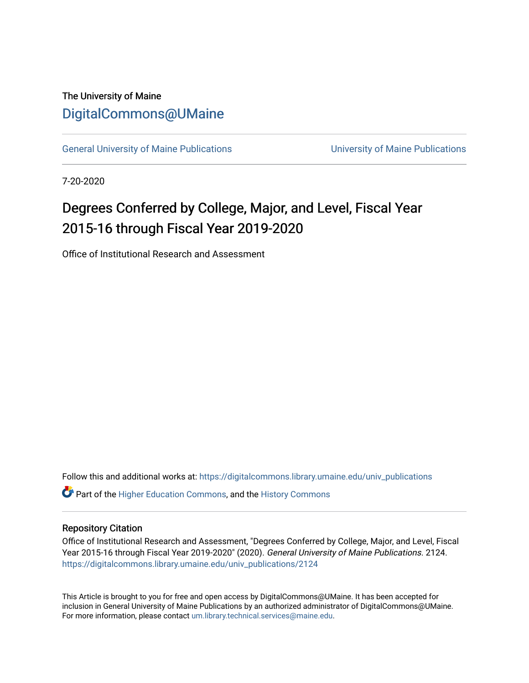## The University of Maine [DigitalCommons@UMaine](https://digitalcommons.library.umaine.edu/)

[General University of Maine Publications](https://digitalcommons.library.umaine.edu/univ_publications) [University of Maine Publications](https://digitalcommons.library.umaine.edu/umaine_publications) 

7-20-2020

## Degrees Conferred by College, Major, and Level, Fiscal Year 2015-16 through Fiscal Year 2019-2020

Office of Institutional Research and Assessment

Follow this and additional works at: [https://digitalcommons.library.umaine.edu/univ\\_publications](https://digitalcommons.library.umaine.edu/univ_publications?utm_source=digitalcommons.library.umaine.edu%2Funiv_publications%2F2124&utm_medium=PDF&utm_campaign=PDFCoverPages) 

**C** Part of the [Higher Education Commons,](http://network.bepress.com/hgg/discipline/1245?utm_source=digitalcommons.library.umaine.edu%2Funiv_publications%2F2124&utm_medium=PDF&utm_campaign=PDFCoverPages) and the [History Commons](http://network.bepress.com/hgg/discipline/489?utm_source=digitalcommons.library.umaine.edu%2Funiv_publications%2F2124&utm_medium=PDF&utm_campaign=PDFCoverPages)

## Repository Citation

Office of Institutional Research and Assessment, "Degrees Conferred by College, Major, and Level, Fiscal Year 2015-16 through Fiscal Year 2019-2020" (2020). General University of Maine Publications. 2124. [https://digitalcommons.library.umaine.edu/univ\\_publications/2124](https://digitalcommons.library.umaine.edu/univ_publications/2124?utm_source=digitalcommons.library.umaine.edu%2Funiv_publications%2F2124&utm_medium=PDF&utm_campaign=PDFCoverPages)

This Article is brought to you for free and open access by DigitalCommons@UMaine. It has been accepted for inclusion in General University of Maine Publications by an authorized administrator of DigitalCommons@UMaine. For more information, please contact [um.library.technical.services@maine.edu](mailto:um.library.technical.services@maine.edu).